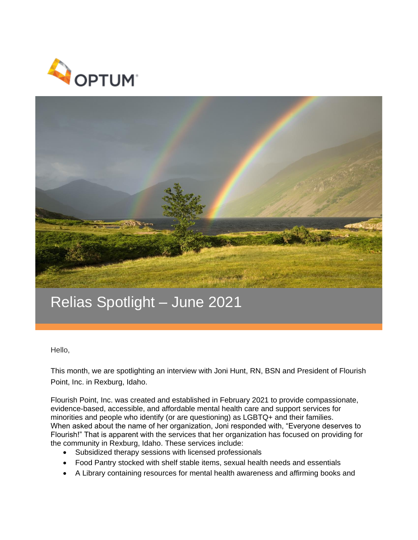



## Relias Spotlight – June 2021

Hello,

This month, we are spotlighting an interview with Joni Hunt, RN, BSN and President of Flourish Point, Inc. in Rexburg, Idaho.

Flourish Point, Inc. was created and established in February 2021 to provide compassionate, evidence-based, accessible, and affordable mental health care and support services for minorities and people who identify (or are questioning) as LGBTQ+ and their families. When asked about the name of her organization, Joni responded with, "Everyone deserves to Flourish!" That is apparent with the services that her organization has focused on providing for the community in Rexburg, Idaho. These services include:

- Subsidized therapy sessions with licensed professionals
- Food Pantry stocked with shelf stable items, sexual health needs and essentials
- A Library containing resources for mental health awareness and affirming books and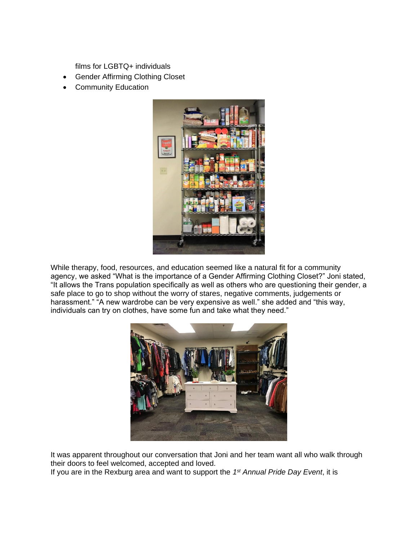films for LGBTQ+ individuals

- Gender Affirming Clothing Closet
- Community Education



While therapy, food, resources, and education seemed like a natural fit for a community agency, we asked "What is the importance of a Gender Affirming Clothing Closet?" Joni stated, "It allows the Trans population specifically as well as others who are questioning their gender, a safe place to go to shop without the worry of stares, negative comments, judgements or harassment." "A new wardrobe can be very expensive as well." she added and "this way, individuals can try on clothes, have some fun and take what they need."



It was apparent throughout our conversation that Joni and her team want all who walk through their doors to feel welcomed, accepted and loved.

If you are in the Rexburg area and want to support the *1 st Annual Pride Day Event*, it is